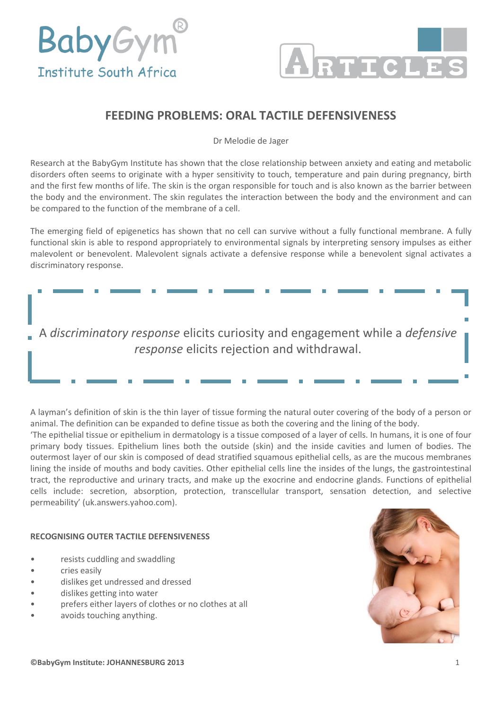



## **FEEDING PROBLEMS: ORAL TACTILE DEFENSIVENESS**

Dr Melodie de Jager

Research at the BabyGym Institute has shown that the close relationship between anxiety and eating and metabolic disorders often seems to originate with a hyper sensitivity to touch, temperature and pain during pregnancy, birth and the first few months of life. The skin is the organ responsible for touch and is also known as the barrier between the body and the environment. The skin regulates the interaction between the body and the environment and can be compared to the function of the membrane of a cell.

The emerging field of epigenetics has shown that no cell can survive without a fully functional membrane. A fully functional skin is able to respond appropriately to environmental signals by interpreting sensory impulses as either malevolent or benevolent. Malevolent signals activate a defensive response while a benevolent signal activates a discriminatory response.

A *discriminatory response* elicits curiosity and engagement while a *defensive response* elicits rejection and withdrawal.

A layman's definition of skin is the thin layer of tissue forming the natural outer covering of the body of a person or animal. The definition can be expanded to define tissue as both the covering and the lining of the body.

'The epithelial tissue or epithelium in dermatology is a tissue composed of a layer of cells. In humans, it is one of four primary body tissues. Epithelium lines both the outside (skin) and the inside cavities and lumen of bodies. The outermost layer of our skin is composed of dead stratified squamous epithelial cells, as are the mucous membranes lining the inside of mouths and body cavities. Other epithelial cells line the insides of the lungs, the gastrointestinal tract, the reproductive and urinary tracts, and make up the exocrine and endocrine glands. Functions of epithelial cells include: secretion, absorption, protection, transcellular transport, sensation detection, and selective permeability' (uk.answers.yahoo.com).

## **RECOGNISING OUTER TACTILE DEFENSIVENESS**

- resists cuddling and swaddling
- cries easily
- dislikes get undressed and dressed
- dislikes getting into water
- prefers either layers of clothes or no clothes at all
- avoids touching anything.

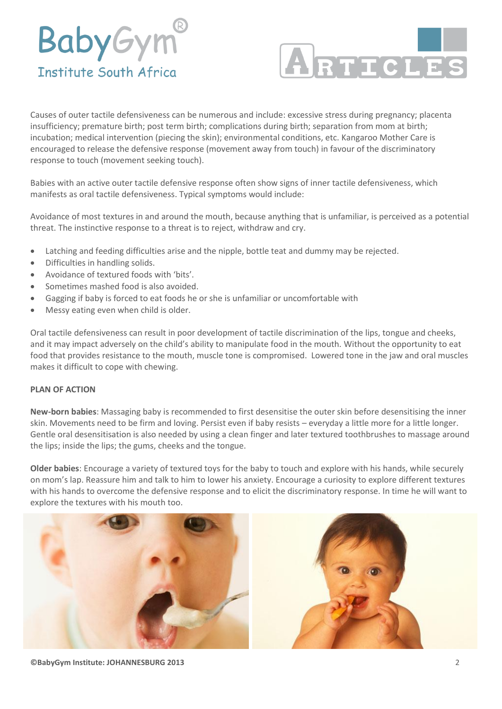## **BabyGym® Institute South Africa**



Causes of outer tactile defensiveness can be numerous and include: excessive stress during pregnancy; placenta insufficiency; premature birth; post term birth; complications during birth; separation from mom at birth; incubation; medical intervention (piecing the skin); environmental conditions, etc. Kangaroo Mother Care is encouraged to release the defensive response (movement away from touch) in favour of the discriminatory response to touch (movement seeking touch).

Babies with an active outer tactile defensive response often show signs of inner tactile defensiveness, which manifests as oral tactile defensiveness. Typical symptoms would include:

Avoidance of most textures in and around the mouth, because anything that is unfamiliar, is perceived as a potential threat. The instinctive response to a threat is to reject, withdraw and cry.

- Latching and feeding difficulties arise and the nipple, bottle teat and dummy may be rejected.
- Difficulties in handling solids.
- Avoidance of textured foods with 'bits'.
- Sometimes mashed food is also avoided.
- Gagging if baby is forced to eat foods he or she is unfamiliar or uncomfortable with
- Messy eating even when child is older.

Oral tactile defensiveness can result in poor development of tactile discrimination of the lips, tongue and cheeks, and it may impact adversely on the child's ability to manipulate food in the mouth. Without the opportunity to eat food that provides resistance to the mouth, muscle tone is compromised. Lowered tone in the jaw and oral muscles makes it difficult to cope with chewing.

## **PLAN OF ACTION**

**New-born babies**: Massaging baby is recommended to first desensitise the outer skin before desensitising the inner skin. Movements need to be firm and loving. Persist even if baby resists – everyday a little more for a little longer. Gentle oral desensitisation is also needed by using a clean finger and later textured toothbrushes to massage around the lips; inside the lips; the gums, cheeks and the tongue.

**Older babies**: Encourage a variety of textured toys for the baby to touch and explore with his hands, while securely on mom's lap. Reassure him and talk to him to lower his anxiety. Encourage a curiosity to explore different textures with his hands to overcome the defensive response and to elicit the discriminatory response. In time he will want to explore the textures with his mouth too.